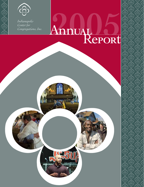

 $\Theta$ )  $\Theta$ )  $\Theta$ )  $\Theta$ )  $\Theta$ 

*Indianapolis Indianapolis Center for Center for Congregations, Inc. Congregations, Inc.*

# UALLED

 $\widehat{\partial}$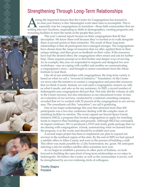## Strengthening Through Long-Term Relationships

) (ଡି) (ଡି) (ଡି) (ଡି) (ଡି

mong the important lessons that the Center for Congregations has learned in its nine-year history is this: Meaningful work takes time to accomplish. This is especially true for congregations in transition—those faith communities that are settling into new locations, responding to shifts in demographics, creating programs and recreating facilities to meet the needs of the people they serve.

 This year's annual report focuses on three congregations that fit that description. We know them well because they've invited us to walk alongside them at pivotal points in their ministries. The result of these long-term relationships is that all participants have emerged stronger. The congregations have chosen from the range of resources that we offer, applied them in their unique settings, and then given us feedback on their value. If the resources have had the desired effect, the congregations often return and ask for further help. These requests prompt us to find fresher and deeper ways of serving. As an example, this year we responded to requests and designed two new workshops—one on coping with conflict and another on communicating a congregation's story—and brought in senior consultants from the Alban Institute to lead them.

 Like all of our relationships with congregations, the long-term variety is based on what we call a "reversal of initiative." Translation: At the Center we never take the initiative to contact a congregation and prescribe resources that we think it needs. Instead, we wait until a congregation contacts us, tells us what it needs, and asks us for our assistance. In 2005, a record number of Indianapolis-area congregations did just that. Not only did the volume of calls to the Center increase, but also attendance at our educational events. In fact, an evaluation of our services, conducted by a national consulting company, revealed that we've worked with 52 percent of the congregations in our service area. The consultants call this "saturation"; we call it gratifying. 

 One of our major undertakings this year that attracted more than 200 participants was a two-day conference dealing with the complex issue of matching facilities to mission. The event capped our Sacred Space Grants Initiative (SSGI), a program that invited congregations to apply for matching funds to improve their buildings and grounds. Although SSGI has concluded, its impact continues. We've produced a DVD and study guide package that we are sharing with congregations. A book, summarizing what we learned from the program, is in the works and should be available next year.

 A second major project has been to implement our plan to expand our services to the northeast region of the state. By the end of 2005 we had opened a satellite office in Allen County and were in the process of building a staff. This effort was made possible by a Lilly Endowment, Inc. grant. We anticipate selecting a site for another satellite office sometime next year.

 As we begin to establish a presence in other parts of Indiana, we look forward to building the same kind of long-term relationships as we enjoy in Indianapolis. We believe the Center, as well as the communities it serves, will be strengthened by an ever-widening circle of colleagues.

Timothy Shapiro President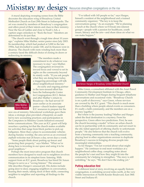# Ministry by design Resources strengthen congregations on the rise

A mural depicting sweeping scenes from the Bible decorates the education wing of Broadway United Methodist Church on East 29th Street in Indianapolis. The art was created by members of Broadway's congregation and offers proof of their talents and clues to their ministry. Near the Sea of Galilee and close to Noah's Ark, a caption urges onlookers to "Rock the boat." Members are determined to do just that.

 "The church went through a tough time about 10 years ago," explains Mike Mather, senior pastor since July 2003. Its membership, which had peaked at 3,000 in the late 1950s, had dwindled to under 100, and its finances were in disarray. The church with roots winding back more than a century faced the difficult choice of closing its doors or redirecting its ministry.



 "The members made a commitment to do whatever was necessary to stay," says Mather. The congregation reversed its inward focus and vowed to set its sights on the community beyond its stately walls. "If you ask people what they are doing here today, a staggering percentage will talk about neighborhood ministry."

 An early and ongoing partner in the turn-around effort has been the Indianapolis Center for Congregations (ICC). Before and after Mather's return to Broadway—he had served 10 years earlier as its associate pastor—church leaders tapped ICC resources to prepare for the

new era of ministry. Educational workshops gave them ideas; a strategic plan provided a blueprint; an audit led to new accounting practices; and participation in the Computers in Ministry Grants Initiatives ensured better communications. This year an ICC grant will help resurface a parking lot that the church makes available for activities that range from block parties to pick-up ballgames. More than a place to accommodate vehicles during Sunday worship, the area serves as an oversized asphalt welcome mat 24 hours a day, seven days a week.

 "Some people think about putting up fences and protecting their property," says Mather. "What we're doing here is investing in our space and using it to be good neighbors."

 Perhaps the most innovative program that church members have designed to reach out to neighbors involves communication in its simplest form: listening. With support from an ICC grant, Broadway has hired De'Amon Harges to serve as a "roving listener." The unusual title describes Harges's unusual job. His duties include going door to door, engaging neighbors in conversation, hearing their needs, taking stock of their skills, connecting neighbor to neighbor and reporting all findings to the church.

 "I've talked with 145 people so far," says Harges, himself a resident of the neighborhood and a trained community organizer. "The key is to keep the conversations going." As an example: "We're planning a lunch at the church where we'll break into interest groups—people with a passion for healthcare, youth issues, literacy and the arts—and share ideas on what we can make happen."



De'Amon Harges of Broadway United Methodist Church

 Mike Green, a consultant affiliated with the Asset Based Community Development Institute in Chicago, offers guidance to Mather and Harges during frequent telephone conversations and occasional visits. "Broadway Church is on a path of discovery," says Green, whose services are covered by the ICC grant. "This church is much more than a building where people attend events as consumers. It's really a faith community, and the members are on a journey together."

 But where is the journey leading? Mather and Harges admit the final destination is a mystery. From his perspective, Green offers two predictions. First, he sees the church becoming a model "of how an urban church can be in partnership with its community and not resort to the old, failed approach of offering charity to unfortunate people." He also believes that the church will evolve from a learning community into a teaching community, playing host to other organizations anxious to duplicate Broadway's success in bringing diverse people into meaningful relationships.

 As for Harges: "I'm not worried about what might happen." He continues to end most workdays at a neighborhood coffee shop, compiling notes about the people he's met and how they might fit into the community he's helping to strengthen. "The story is still unfolding," he says. "We don't have the ending yet."

#### **Putting education first**

 A different kind of story, involving an equally historic congregation, is unfolding several miles north, at the very visible intersection of North Kessler Boulevard, East 38th Street and Indiana 65.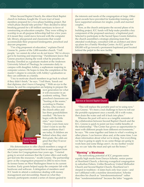When Second Baptist Church, the oldest black Baptist church in Indiana, bought the 12-acre tract of land, members prepared for a two-phase building project. But which phase should take priority? They decided to delay breaking ground for a \$5 million sanctuary in favor of constructing an education complex. They were willing to worship in an all-purpose fellowship hall for a few years if it meant they could move forward with the computer lab, library, playground and classrooms that would accommodate their proposed kindergarten, preschool and daycare programs.

 "I'm a big proponent of education," explains David Greene Sr., pastor of the 1,000-member church. "I tell people, 'we cannot do what we do not know.' We've always got to be learning and improving." Parishioners know that Greene practices during the week what he preaches on Sunday. Enrolled as a graduate student at the Anderson University School of Theology, he commutes daily to campus with daughter Ashley, a sophomore majoring in computer science. He hopes to time the completion of his master's degree to coincide with Ashley's graduation so they can celebrate as a family.

 "I try to motivate church members to go back to school if they didn't finish," he says. "I tell them, 'knock out that diploma; don't leave it hanging.'" With an eye to the future, he and his congregation are helping to prepare the



next generation for what it will encounter in an academic setting. Their preschool classrooms are "busting at the seams," according to Dianne Archey, who works in the church office and has three grandchildren enrolled. "We have to begin with the little ones," says Greene. "Twenty years from now I don't want to see the same problems that I see today. If children are behind when they start first grade, the odds are great that they'll never catch up."

 His determination to offer church members a range of education opportunities caused him to seek support from the Center for Congregations four years ago. "I started going to several seminars that the Center offers and really got tied into the resources," recalls Greene. The partnership grew as the congregation prepared in 2002 to move from its former home on West Washington Street to its current location. Early grants helped equip the computer lab with hardware and software. A delegation of members used ICC funds to attend a conference dealing with money management and stewardship. Based on what they learned, participants created a series of classes geared to

the interests and needs of the congregation at large. Other grant awards have provided for leadership training and have supported seminars for singles, youth and married couples.

 Now, as the church anticipates the second phase of its building project, ICC funds will help make possible a key component of the proposed sanctuary: a baptismal pool. Selected to participate in the Sacred Space Grants Initiative, the church assembled a strategic planning team that attended workshops, consulted with an architect and drew up plans for a Family Worship Center. An ICC grant for \$30,000 will go toward a permanent baptismal pool located behind the pulpit in the new facility.



Service at Second Baptist Church

 "This will replace the portable pool we're using now," says Greene. "It's been a real challenge to have to roll out the portable equipment once a month, fill it with water, then drain the water and roll it back into place."

 Whereas the pool will serve as a tangible reminder of the collaboration between Second Baptist Church and the ICC, Greene is quick to point out less-visible benefits of the relationship. "The Center has given us opportunities to meet with different people from different environments," he says. "We come together and listen to what's working in other places. I can borrow ideas and, at the same time, I can share information about what we're doing. Not everything we hear is going to apply to us; some things are going to work here and some things aren't. As my mother would say, we can 'take the meat and spit out the bones.'''

#### **"Warming" a Warehouse**

 The networking potential of ICC programs earns equally high marks from Darryn Scheske, senior pastor at Heartland Church, a thriving evangelical congregation in suburban Fishers. Unlike Broadway United Methodist Church and Second Baptist Church, Heartland isn't steeped in tradition—it dates back only four years—and isn't affiliated with a mainline denomination. Scheske describes his church as "interdenominational" rather than "nondenominational" because the latter "suggests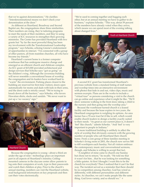that we're against denominations." He clarifies: "Interdenominational means we don't check your denomination at the door."

 As different as Heartland, Broadway and Second Baptist are, the congregations share three similarities. Their numbers are rising, they're tailoring programs to meet the needs of their members, and they're using a variety of ICC resources to strengthen their growing ministries. The Center has provided Heartland with two grants but "by far the most powerful thing has been my involvement with the Transformational Leadership program," says Scheske, echoing Greene's endorsement of opportunities to interact. "I'm connected with a group of other pastors, all from mainline churches, all who have become my friends."

 Heartland's current home is a former computer warehouse that has undergone massive change and emerged as an efficient church and childcare complex. An ICC grant of \$15,000 provided architectural and design services that Scheske says "got us going" on the children's wing. Although the cavernous building will never resemble a conventional house of worship, the congregation and its leaders have worked hard to "warm" the environment. Parking places closest to the building are reserved for first-time visitors; doors open automatically for moms and dads with kids in their arms, and the dress code is strictly casual. "We're trying to knock down all the barriers," says Scheske, who favors Hawaiian shirts, slacks and sandals. "We never want to put up a 'no vacancy' sign."



 Because the congregation is young—about a third are under the age of nine—technology plays an important part in all aspects of Heartland's ministry. Ceilingmounted cameras in the daycare center allow parents to log onto their computers at work, type in their passwords and watch their children at play. Prior to the church's annual meeting, members can visit the Heartland website, read background information on key proposals and then cast their votes electronically.

"We're used to coming together and hugging each other, but at an annual meeting we have to gather to do business," explains Scheske. "This way, about 59 percent of the members have already voted when they arrive, which means we can spend most of the evening talking about changed lives."

Youth at Heartland Church



 A second ICC grant has transformed Heartland's previous website from a standard listing of staff names and worship times into an interactive environment with photos that fade in and out, video clips, music and sermon excerpts. Plans are in the works to include a "virtual tour" so persons considering a visit to the church can go online and experience what it might be like. "We'll show someone walking in the front door, taking a child to the nursery and then going into the worship area."

 Because the warehouse-turned-church is a leased facility and because the lease expires in two years, the Heartland congregation is weighing its options. An area farmer has a 70-acre tract he'd like to sell, which would enable church leaders to design a facility exactly suited to their needs. "As great as our current place is, it doesn't 'feel' like church," admits Scheske. "And 'feel' is very important to people in Indiana."

 A more traditional building is unlikely to affect the style of worship that obviously connects with the growing number of people who call Heartland their church home. From a core group of three families meeting in Scheske's living room in 2001, the church now serves 500 to 600 worshipers each Sunday. Not all visitors embrace the contemporary music and conversational sermons, though, and Scheske is willing to accept that fact.

 "A neighbor of mine came to church one Sunday but chose not to return," he recalls. "He told me that it wasn't for him…that he was looking for something a little quieter. At first I thought: I want this to be the church for everybody! Then I realized that it can't be that way. The incident served as a reminder that there should be no competition among churches. God has wired us differently, with different personalities and different styles. As churches, we can't make people like the same thing. God loves variety, and so should we."  $\circ$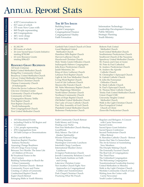# Ann**UAL** Re**POR**t Stat**<sup>S</sup>**

- 4,927 Conversations in •
- 817 cases of which •
- 375 were New Cases with •
- 869 People representing •
- 465 Congregations •
- 44% were clergy •
- 56% were laity •

#### \$1,345,391 •

**Resou**

**G**

**rants**

**rce**

**Consultin**

**g**

- 88 Grants of which
- 26 were Sacred Space Grants Initiative totaling \$758,968 • •
- 62 were Resource Grants totaling \$586,423 •

#### **Resource Grant Recipients**

All Souls Unitarian Bethel United Methodist Church BridgeWay Community Church Broadway United Methodist Church Calvary United Methodist Church Chapel Rock Christian Church Chinese Community Church of Indianapolis Christ the Savior Lutheran Church Cityview Christian Center Community Church of Southport Community of Christ Congregation Shaarey Tefilla First Baptist Church First Baptist Church of North Indianapolis First Congregational Church First United Methodist Church

#### **The 10 Ten Issues**

Building Issues Capital Campaigns Congregational Finance Congregational Vitality Faith Formation

Garfield Park United Church of Christ Good Shepherd United Methodist Church Hamilton Hills Baptist Church Harvest Lutheran Church Hazelwood Christian Church Holy Trinity Greek Orthodox Church Indianapolis Hebrew Congregation John Knox Presbyterian Church Judah Ministries, Inc King of Glory Lutheran Church Lebanon First Baptist Church Light & Life Free Methodist Church Living Word Baptist Church Lord of Life Lutheran Church Mooresville Friends Church Mt. Nebo Missionary Baptist Church New Beginnings Ministries North Salem Christian Church Northeast Community Church Oasis of Hope Baptist Church Old Bethel United Methodist Church Our Lady of Grace Catholic Church Parc-Way Assembly of God Church Plainfield United Methodist Church Redeemer Presbyterian Church

- 103 Educational Events •
- including 8 held in NE Region and 1 Conference •
- 1,314 people representing •
- 478 Congregations from •
- 38 Faith Groups or Denominations •

40 Days and 40 Bytes American Baptist Churches Indiana/Kentucky Assessing Change Readiness ATLAS Clergy Focus Group Between Two Worlds: The Inner Life of Children of Divorce Bi-Vocational Pastor in the 21st Century Building Partnerships to Reach the Urban Community Central Christian Church - Retreat Community Prayer and Praise Creating a Culture of Generosity Cumberland Baptist Church Eagle Church Retreat Emerging Shifts in Youth Ministry

Faith Community Church Retreat Faith Money and Giving Finding your Niche First Free Methodist Church Meeting GoodWords Holy Silence: The Gift of Quaker Spirituality Hoosier Pastoral Clergy Writing Seminar Huntington University Luncheon Interfaith Clergy Luncheon International Muslim Clerics Luncheon Irvington Presbyterian Church Jewish Community Relations Council Lake Family Institute on Faith and Giving Lakeview Christian Center Not Another Church Fight: New Approaches to Congregational Conflict and Transformation Park Chapel Christian Church Practicing What We Preach

Information Technology Leadership Development Outreach Public Ministry Strategic Planning Youth Ministry

Roberts Park United Methodist Church Scott United Methodist Church Southminster Presbyterian Church Southwest Church of the Nazarene Speedway United Methodist Church SS. Francis and Clare of Assisi SS. Peter & Paul Cathedral St. Andrew Presbyterian Church St. Andrew the Apostle Catholic Church St. Christopher's Episcopal Church St. Gabriel Catholic Church St. John the Forerunner Orthodox Church St. Mark Catholic Church St. Paul's Episcopal Church St. Thomas More Catholic Church Trinity Park United Methodist Church Union Chapel UMC University Heights United Methodist Church Walk in the Light Christian Church Zion Evangelical United Church of Christ Zionsville Presbyterian Church

Regulars and Refugees: A Concert with Carrie Newcomer Sacred Circles Sacred Space Grant Initiative Sacred Spaces Conference Second Presbyterian Church Office Retreat St. Barnabas Catholic Church - Retreat Stories that Take Us Somewhere The Art & Science of Assimilating New Members The Disciple Making Church The Externally Focused Church The Real Life of Congregations The Third Place The Unfinished Congregation The Welcoming Congregation Transformational Leadership Journey United Methodists in Ministry Walk in the Light Christian Church Westlake Community Church of God Writing from the Center with Carrie Newcomer Youth Leader Gathering

**Educational EDUCATIONAL EVENTS**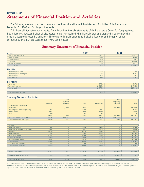#### **Statements of Financial Position and Activities** Financial Report

The following is summary of the statement of the financial position and the statement of activities of the Center as of December 31, 2005 and for the year then ended.

This financial information was extracted from the audited financial statements of the Indianapolis Center for Congregations, Inc. It does not, however, include all disclosures normally associated with financial statements prepared in conformity with generally accepted accounting principles. The complete financial statements, including footnotes and the report of our accountants, BKD, LLP, are available for review upon request.

#### **Summary Statement of Financial Position**

| Assets                     | 2005       | 2004      |
|----------------------------|------------|-----------|
| Cash and cash equivalents  | 969,021    | 5,988,71  |
| Prepaid expenses           | 30,903     | 18,358    |
| <b>Interest Receivable</b> | 6,508      | 6,543     |
| Investments                | 11,248,886 | ,470,000  |
| Property and equipment     | 101,358    | 95,733    |
| <b>Total assets</b>        | 12,356,676 | 1,579,345 |

#### Liabilities

| .                                |         |        |  |  |  |
|----------------------------------|---------|--------|--|--|--|
| Accounts payable - trade         | 35.226  | 1.915  |  |  |  |
| Accounts payable – related party | 71.456  | 18,031 |  |  |  |
| Accrued vacation                 | 22.026  | 23,261 |  |  |  |
| <b>Total liabilities</b>         | 128,708 | 46,207 |  |  |  |

#### Net Assets

| Unrestricted                     | 37,388     | 56,729    |
|----------------------------------|------------|-----------|
| <b>Temporarily Restricted</b>    | 12,190,580 | 1.476.409 |
| Total net assets                 | 12,227,968 | 533,138   |
|                                  |            |           |
| Total liabilities and net assets | 12,356,676 |           |

#### Summary Statement of Activities

|                                       |                   | 2005               |              |                   | 2004              |           |
|---------------------------------------|-------------------|--------------------|--------------|-------------------|-------------------|-----------|
|                                       |                   | <b>Temporarily</b> |              |                   | Temporarily       |           |
|                                       | Unrestricted      | Restricted         | <b>Total</b> | Unrestricted      | Restricted        | Total     |
| <b>Revenues and Other Support</b>     |                   |                    |              |                   |                   |           |
| Contribution                          | $\qquad \qquad -$ | 8,171,433          | 8,171,433    | $\qquad \qquad -$ | 4,629,570         | 4,629,570 |
| Workshops and invitational gatherings | 30,601            | $\qquad \qquad -$  | 30,601       | 16,358            | $\qquad \qquad -$ | 16.358    |
| Interest Income                       | 176,607           | $\qquad \qquad -$  | 176,607      | 49,899            | $\qquad \qquad -$ | 49,899    |
| Other                                 | 889               | $-$                | 889          | 170               | $-$               | 170       |
|                                       | 208,097           | 8,171,433          | 8,379,530    | 66,427            | 4,629,570         | 4,695,997 |
| Net assets released from restrictions | 3,457,262         | (3,457,262)        | $-$          | 2,234,000         | (2,234,000)       |           |
| Total Revenues and other support      | 3,665,359         | 4,714,171          | 8,379,530    | 2,300,427         | 2,395,570         | 4,695,997 |

| <b>Expenses</b>                      |           |           |           |           |                   |           |
|--------------------------------------|-----------|-----------|-----------|-----------|-------------------|-----------|
| <b>Resource Consulting</b>           | 375.898   | $--$      | 375,898   | 274.940   | $\qquad \qquad -$ | 274,940   |
| Resource Discovery and Dissemination | 214,917   | $- -$     | 214.917   | 170,046   | $- -$             | 170,046   |
| Education                            | 547.589   | $- -$     | 547.589   | 270,289   | $\qquad \qquad -$ | 270,289   |
| <b>Resource Grants</b>               | 710.745   | $- -$     | 710.745   | 482,859   | $- -$             | 482,859   |
| <b>Major Grant Initiative</b>        | 1.205.751 | $- -$     | 1,205,751 | 662,963   | $\qquad \qquad -$ | 662,963   |
| Total program services               | 3,054,900 | $- -$     | 3,054,900 | 1,861,097 | $- -$             | 1,861,097 |
| Management and general               | 629,031   | $- -$     | 629,031   | 461,820   | $\qquad \qquad -$ | 461.820   |
| Total expenses                       | 3,683,931 | $- -$     | 3,683,931 | 2,322,917 | $\frac{1}{2}$     | 2,322,917 |
| Loss on disposal of equipment        | 769       | $- -$     | 769       | 2.544     | $\qquad \qquad -$ | 2,544     |
| Total expenses and losses            | 3.684.700 | $- -$     | 3,684,700 | 2,325,461 | $\frac{1}{2}$     | 2,325,461 |
|                                      |           |           |           |           |                   |           |
|                                      |           |           |           |           |                   |           |
| <b>Change in Net Assets</b>          | (19, 341) | 4.714.171 | 4.694.830 | (25,034)  | 2,395,570         | 2,370,536 |
|                                      |           |           |           |           |                   |           |
| Net Assets, Beginning of Year        | 56,729    | 7,476,409 | 7,533,138 | 81,763    | 5,080,839         | 5,162,602 |

Notes to Financial Statements – The Center's net assets are derived from an operating grant for years 2003-2008, a supplemental grant for year 2005, and a satellite operations grant for years 2005-2007 from the Lilly Endowment, Inc. These assets are recorded as temporarily restricted net assets as their use by the Center has been limited by the grantor for the period 2003-2008. Net assets are released from grantor restrictions by incur expenses satisfying the restricted purposes or by occurrence of other events specified by grantors during the years 2003-2008.

Net Assets, End of Year 37,388 37,388 12,190,580 12,227,968 56,729 56,729 7,476,409 7,533,138